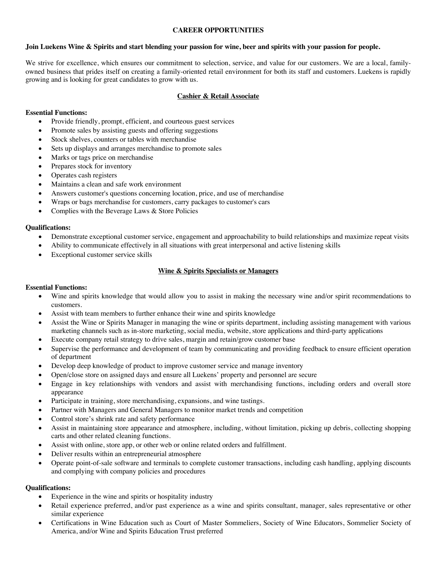## **CAREER OPPORTUNITIES**

#### **Join Luekens Wine & Spirits and start blending your passion for wine, beer and spirits with your passion for people.**

We strive for excellence, which ensures our commitment to selection, service, and value for our customers. We are a local, familyowned business that prides itself on creating a family-oriented retail environment for both its staff and customers. Luekens is rapidly growing and is looking for great candidates to grow with us.

## **Cashier & Retail Associate**

## **Essential Functions:**

- Provide friendly, prompt, efficient, and courteous guest services
- Promote sales by assisting guests and offering suggestions
- Stock shelves, counters or tables with merchandise
- Sets up displays and arranges merchandise to promote sales
- Marks or tags price on merchandise
- Prepares stock for inventory
- Operates cash registers
- Maintains a clean and safe work environment
- Answers customer's questions concerning location, price, and use of merchandise
- Wraps or bags merchandise for customers, carry packages to customer's cars
- Complies with the Beverage Laws & Store Policies

#### **Qualifications:**

- Demonstrate exceptional customer service, engagement and approachability to build relationships and maximize repeat visits
- Ability to communicate effectively in all situations with great interpersonal and active listening skills
- Exceptional customer service skills

## **Wine & Spirits Specialists or Managers**

#### **Essential Functions:**

- Wine and spirits knowledge that would allow you to assist in making the necessary wine and/or spirit recommendations to customers.
- Assist with team members to further enhance their wine and spirits knowledge
- Assist the Wine or Spirits Manager in managing the wine or spirits department, including assisting management with various marketing channels such as in-store marketing, social media, website, store applications and third-party applications
- Execute company retail strategy to drive sales, margin and retain/grow customer base
- Supervise the performance and development of team by communicating and providing feedback to ensure efficient operation of department
- Develop deep knowledge of product to improve customer service and manage inventory
- Open/close store on assigned days and ensure all Luekens' property and personnel are secure
- Engage in key relationships with vendors and assist with merchandising functions, including orders and overall store appearance
- Participate in training, store merchandising, expansions, and wine tastings.
- Partner with Managers and General Managers to monitor market trends and competition
- Control store's shrink rate and safety performance
- Assist in maintaining store appearance and atmosphere, including, without limitation, picking up debris, collecting shopping carts and other related cleaning functions.
- Assist with online, store app, or other web or online related orders and fulfillment.
- Deliver results within an entrepreneurial atmosphere
- Operate point-of-sale software and terminals to complete customer transactions, including cash handling, applying discounts and complying with company policies and procedures

## **Qualifications:**

- Experience in the wine and spirits or hospitality industry
- Retail experience preferred, and/or past experience as a wine and spirits consultant, manager, sales representative or other similar experience
- Certifications in Wine Education such as Court of Master Sommeliers, Society of Wine Educators, Sommelier Society of America, and/or Wine and Spirits Education Trust preferred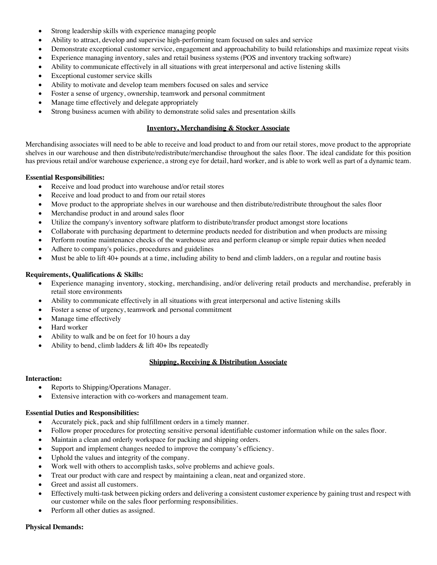- Strong leadership skills with experience managing people
- Ability to attract, develop and supervise high-performing team focused on sales and service
- Demonstrate exceptional customer service, engagement and approachability to build relationships and maximize repeat visits
- Experience managing inventory, sales and retail business systems (POS and inventory tracking software)
- Ability to communicate effectively in all situations with great interpersonal and active listening skills
- Exceptional customer service skills
- Ability to motivate and develop team members focused on sales and service
- Foster a sense of urgency, ownership, teamwork and personal commitment
- Manage time effectively and delegate appropriately
- Strong business acumen with ability to demonstrate solid sales and presentation skills

## **Inventory, Merchandising & Stocker Associate**

Merchandising associates will need to be able to receive and load product to and from our retail stores, move product to the appropriate shelves in our warehouse and then distribute/redistribute/merchandise throughout the sales floor. The ideal candidate for this position has previous retail and/or warehouse experience, a strong eye for detail, hard worker, and is able to work well as part of a dynamic team.

## **Essential Responsibilities:**

- Receive and load product into warehouse and/or retail stores
- Receive and load product to and from our retail stores
- Move product to the appropriate shelves in our warehouse and then distribute/redistribute throughout the sales floor
- Merchandise product in and around sales floor
- Utilize the company's inventory software platform to distribute/transfer product amongst store locations
- Collaborate with purchasing department to determine products needed for distribution and when products are missing
- Perform routine maintenance checks of the warehouse area and perform cleanup or simple repair duties when needed
- Adhere to company's policies, procedures and guidelines
- Must be able to lift 40+ pounds at a time, including ability to bend and climb ladders, on a regular and routine basis

# **Requirements, Qualifications & Skills:**

- Experience managing inventory, stocking, merchandising, and/or delivering retail products and merchandise, preferably in retail store environments
- Ability to communicate effectively in all situations with great interpersonal and active listening skills
- Foster a sense of urgency, teamwork and personal commitment
- Manage time effectively
- Hard worker
- Ability to walk and be on feet for 10 hours a day
- Ability to bend, climb ladders  $&$  lift 40+ lbs repeatedly

## **Shipping, Receiving & Distribution Associate**

## **Interaction:**

- Reports to Shipping/Operations Manager.
- Extensive interaction with co-workers and management team.

## **Essential Duties and Responsibilities:**

- Accurately pick, pack and ship fulfillment orders in a timely manner.
- Follow proper procedures for protecting sensitive personal identifiable customer information while on the sales floor.
- Maintain a clean and orderly workspace for packing and shipping orders.
- Support and implement changes needed to improve the company's efficiency.
- Uphold the values and integrity of the company.
- Work well with others to accomplish tasks, solve problems and achieve goals.
- Treat our product with care and respect by maintaining a clean, neat and organized store.
- Greet and assist all customers.
- Effectively multi-task between picking orders and delivering a consistent customer experience by gaining trust and respect with our customer while on the sales floor performing responsibilities.
- Perform all other duties as assigned.

## **Physical Demands:**